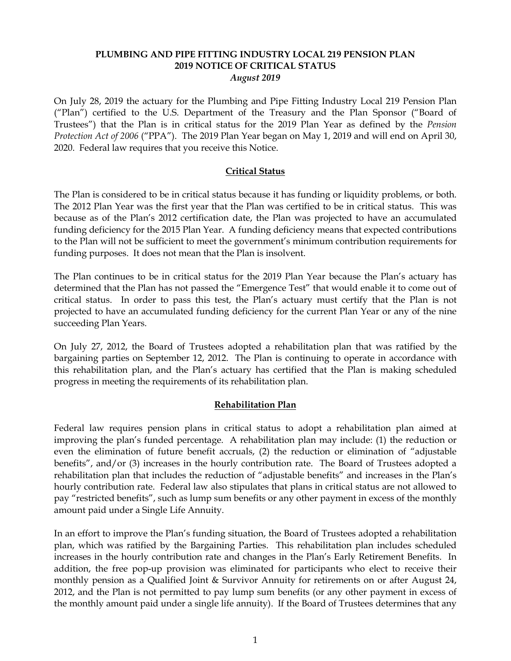### **PLUMBING AND PIPE FITTING INDUSTRY LOCAL 219 PENSION PLAN 2019 NOTICE OF CRITICAL STATUS** *August 2019*

On July 28, 2019 the actuary for the Plumbing and Pipe Fitting Industry Local 219 Pension Plan ("Plan") certified to the U.S. Department of the Treasury and the Plan Sponsor ("Board of Trustees") that the Plan is in critical status for the 2019 Plan Year as defined by the *Pension Protection Act of 2006* ("PPA"). The 2019 Plan Year began on May 1, 2019 and will end on April 30, 2020. Federal law requires that you receive this Notice.

# **Critical Status**

The Plan is considered to be in critical status because it has funding or liquidity problems, or both. The 2012 Plan Year was the first year that the Plan was certified to be in critical status. This was because as of the Plan's 2012 certification date, the Plan was projected to have an accumulated funding deficiency for the 2015 Plan Year. A funding deficiency means that expected contributions to the Plan will not be sufficient to meet the government's minimum contribution requirements for funding purposes. It does not mean that the Plan is insolvent.

The Plan continues to be in critical status for the 2019 Plan Year because the Plan's actuary has determined that the Plan has not passed the "Emergence Test" that would enable it to come out of critical status. In order to pass this test, the Plan's actuary must certify that the Plan is not projected to have an accumulated funding deficiency for the current Plan Year or any of the nine succeeding Plan Years.

On July 27, 2012, the Board of Trustees adopted a rehabilitation plan that was ratified by the bargaining parties on September 12, 2012. The Plan is continuing to operate in accordance with this rehabilitation plan, and the Plan's actuary has certified that the Plan is making scheduled progress in meeting the requirements of its rehabilitation plan.

# **Rehabilitation Plan**

Federal law requires pension plans in critical status to adopt a rehabilitation plan aimed at improving the plan's funded percentage. A rehabilitation plan may include: (1) the reduction or even the elimination of future benefit accruals, (2) the reduction or elimination of "adjustable benefits", and/or (3) increases in the hourly contribution rate. The Board of Trustees adopted a rehabilitation plan that includes the reduction of "adjustable benefits" and increases in the Plan's hourly contribution rate. Federal law also stipulates that plans in critical status are not allowed to pay "restricted benefits", such as lump sum benefits or any other payment in excess of the monthly amount paid under a Single Life Annuity.

In an effort to improve the Plan's funding situation, the Board of Trustees adopted a rehabilitation plan, which was ratified by the Bargaining Parties. This rehabilitation plan includes scheduled increases in the hourly contribution rate and changes in the Plan's Early Retirement Benefits. In addition, the free pop-up provision was eliminated for participants who elect to receive their monthly pension as a Qualified Joint & Survivor Annuity for retirements on or after August 24, 2012, and the Plan is not permitted to pay lump sum benefits (or any other payment in excess of the monthly amount paid under a single life annuity). If the Board of Trustees determines that any